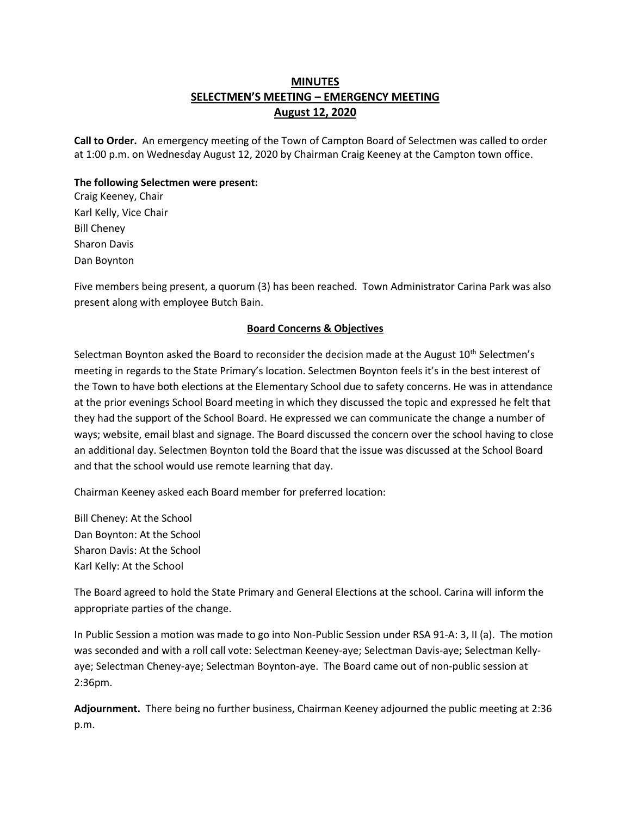## **MINUTES SELECTMEN'S MEETING – EMERGENCY MEETING August 12, 2020**

**Call to Order.** An emergency meeting of the Town of Campton Board of Selectmen was called to order at 1:00 p.m. on Wednesday August 12, 2020 by Chairman Craig Keeney at the Campton town office.

## **The following Selectmen were present:**

Craig Keeney, Chair Karl Kelly, Vice Chair Bill Cheney Sharon Davis Dan Boynton

Five members being present, a quorum (3) has been reached.Town Administrator Carina Park was also present along with employee Butch Bain.

## **Board Concerns & Objectives**

Selectman Boynton asked the Board to reconsider the decision made at the August 10<sup>th</sup> Selectmen's meeting in regards to the State Primary's location. Selectmen Boynton feels it's in the best interest of the Town to have both elections at the Elementary School due to safety concerns. He was in attendance at the prior evenings School Board meeting in which they discussed the topic and expressed he felt that they had the support of the School Board. He expressed we can communicate the change a number of ways; website, email blast and signage. The Board discussed the concern over the school having to close an additional day. Selectmen Boynton told the Board that the issue was discussed at the School Board and that the school would use remote learning that day.

Chairman Keeney asked each Board member for preferred location:

Bill Cheney: At the School Dan Boynton: At the School Sharon Davis: At the School Karl Kelly: At the School

The Board agreed to hold the State Primary and General Elections at the school. Carina will inform the appropriate parties of the change.

In Public Session a motion was made to go into Non-Public Session under RSA 91-A: 3, II (a). The motion was seconded and with a roll call vote: Selectman Keeney-aye; Selectman Davis-aye; Selectman Kellyaye; Selectman Cheney-aye; Selectman Boynton-aye. The Board came out of non-public session at 2:36pm.

**Adjournment.** There being no further business, Chairman Keeney adjourned the public meeting at 2:36 p.m.